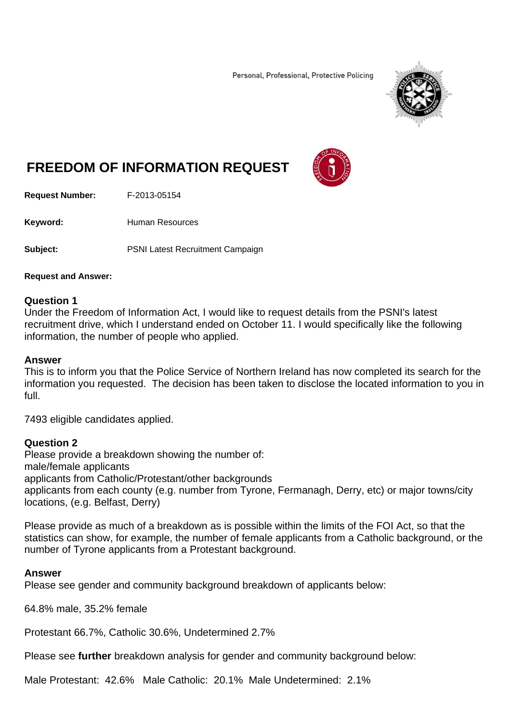Personal, Professional, Protective Policing



# **FREEDOM OF INFORMATION REQUEST**

**Request Number:** F-2013-05154

Keyword: **Human Resources** 

**Subject:** PSNI Latest Recruitment Campaign

#### **Request and Answer:**

## **Question 1**

Under the Freedom of Information Act, I would like to request details from the PSNI's latest recruitment drive, which I understand ended on October 11. I would specifically like the following information, the number of people who applied.

## **Answer**

This is to inform you that the Police Service of Northern Ireland has now completed its search for the information you requested. The decision has been taken to disclose the located information to you in full.

7493 eligible candidates applied.

# **Question 2**

Please provide a breakdown showing the number of: male/female applicants applicants from Catholic/Protestant/other backgrounds applicants from each county (e.g. number from Tyrone, Fermanagh, Derry, etc) or major towns/city locations, (e.g. Belfast, Derry)

Please provide as much of a breakdown as is possible within the limits of the FOI Act, so that the statistics can show, for example, the number of female applicants from a Catholic background, or the number of Tyrone applicants from a Protestant background.

#### **Answer**

Please see gender and community background breakdown of applicants below:

64.8% male, 35.2% female

Protestant 66.7%, Catholic 30.6%, Undetermined 2.7%

Please see **further** breakdown analysis for gender and community background below:

Male Protestant: 42.6% Male Catholic: 20.1% Male Undetermined: 2.1%